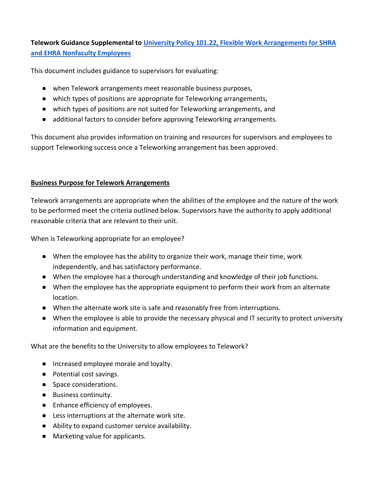**Telework Guidance Supplemental to [University Policy 101.22, Flexible Work Arrangements for SHRA](https://legal.charlotte.edu/policies/up-101.22)  [and EHRA Nonfaculty Employees](https://legal.charlotte.edu/policies/up-101.22)**

This document includes guidance to supervisors for evaluating:

- when Telework arrangements meet reasonable business purposes,
- which types of positions are appropriate for Teleworking arrangements,
- which types of positions are not suited for Teleworking arrangements, and
- additional factors to consider before approving Teleworking arrangements.

This document also provides information on training and resources for supervisors and employees to support Teleworking success once a Teleworking arrangement has been approved.

## **Business Purpose for Telework Arrangements**

Telework arrangements are appropriate when the abilities of the employee and the nature of the work to be performed meet the criteria outlined below. Supervisors have the authority to apply additional reasonable criteria that are relevant to their unit.

When is Teleworking appropriate for an employee?

- When the employee has the ability to organize their work, manage their time, work independently, and has satisfactory performance.
- When the employee has a thorough understanding and knowledge of their job functions.
- When the employee has the appropriate equipment to perform their work from an alternate location.
- When the alternate work site is safe and reasonably free from interruptions.
- When the employee is able to provide the necessary physical and IT security to protect university information and equipment.

What are the benefits to the University to allow employees to Telework?

- Increased employee morale and loyalty.
- Potential cost savings.
- Space considerations.
- Business continuity.
- Enhance efficiency of employees.
- Less interruptions at the alternate work site.
- Ability to expand customer service availability.
- Marketing value for applicants.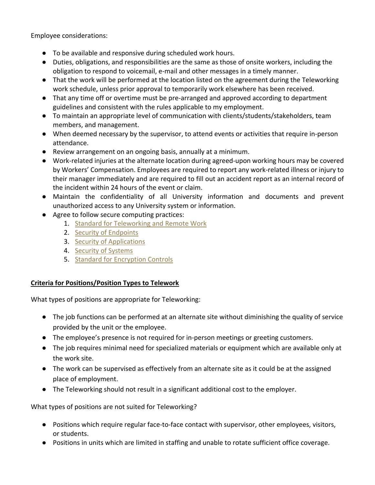Employee considerations:

- To be available and responsive during scheduled work hours.
- Duties, obligations, and responsibilities are the same as those of onsite workers, including the obligation to respond to voicemail, e-mail and other messages in a timely manner.
- That the work will be performed at the location listed on the agreement during the Teleworking work schedule, unless prior approval to temporarily work elsewhere has been received.
- That any time off or overtime must be pre-arranged and approved according to department guidelines and consistent with the rules applicable to my employment.
- To maintain an appropriate level of communication with clients/students/stakeholders, team members, and management.
- When deemed necessary by the supervisor, to attend events or activities that require in-person attendance.
- Review arrangement on an ongoing basis, annually at a minimum.
- Work-related injuries at the alternate location during agreed-upon working hours may be covered by Workers' Compensation. Employees are required to report any work-related illness or injury to their manager immediately and are required to fill out an accident report as an internal record of the incident within 24 hours of the event or claim.
- Maintain the confidentiality of all University information and documents and prevent unauthorized access to any University system or information.
- Agree to follow secure computing practices:
	- 1. [Standard for Teleworking and Remote Work](https://oneit.charlotte.edu/iso/standard-teleworking)
	- 2. [Security of Endpoints](https://oneit.charlotte.edu/iso/guideline-security-endpoints)
	- 3. [Security of Applications](https://oneit.charlotte.edu/iso/guideline-security-applications)
	- 4. [Security of Systems](https://oneit.charlotte.edu/iso/guideline-security-systems)
	- 5. [Standard for Encryption Controls](https://oneit.charlotte.edu/iso/standard-encryption-controls)

## **Criteria for Positions/Position Types to Telework**

What types of positions are appropriate for Teleworking:

- The job functions can be performed at an alternate site without diminishing the quality of service provided by the unit or the employee.
- The employee's presence is not required for in-person meetings or greeting customers.
- The job requires minimal need for specialized materials or equipment which are available only at the work site.
- The work can be supervised as effectively from an alternate site as it could be at the assigned place of employment.
- The Teleworking should not result in a significant additional cost to the employer.

What types of positions are not suited for Teleworking?

- Positions which require regular face-to-face contact with supervisor, other employees, visitors, or students.
- Positions in units which are limited in staffing and unable to rotate sufficient office coverage.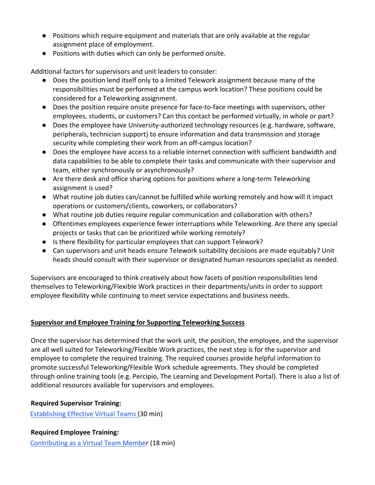- Positions which require equipment and materials that are only available at the regular assignment place of employment.
- Positions with duties which can only be performed onsite.

Additional factors for supervisors and unit leaders to consider:

- Does the position lend itself only to a limited Telework assignment because many of the responsibilities must be performed at the campus work location? These positions could be considered for a Teleworking assignment.
- Does the position require onsite presence for face-to-face meetings with supervisors, other employees, students, or customers? Can this contact be performed virtually, in whole or part?
- Does the employee have University-authorized technology resources (e.g. hardware, software, peripherals, technician support) to ensure information and data transmission and storage security while completing their work from an off-campus location?
- Does the employee have access to a reliable internet connection with sufficient bandwidth and data capabilities to be able to complete their tasks and communicate with their supervisor and team, either synchronously or asynchronously?
- Are there desk and office sharing options for positions where a long-term Teleworking assignment is used?
- What routine job duties can/cannot be fulfilled while working remotely and how will it impact operations or customers/clients, coworkers, or collaborators?
- What routine job duties require regular communication and collaboration with others?
- Oftentimes employees experience fewer interruptions while Teleworking. Are there any special projects or tasks that can be prioritized while working remotely?
- Is there flexibility for particular employees that can support Telework?
- Can supervisors and unit heads ensure Telework suitability decisions are made equitably? Unit heads should consult with their supervisor or designated human resources specialist as needed.

Supervisors are encouraged to think creatively about how facets of position responsibilities lend themselves to Teleworking/Flexible Work practices in their departments/units in order to support employee flexibility while continuing to meet service expectations and business needs.

# **Supervisor and Employee Training for Supporting Teleworking Success**

Once the supervisor has determined that the work unit, the position, the employee, and the supervisor are all well suited for Teleworking/Flexible Work practices, the next step is for the supervisor and employee to complete the required training. The required courses provide helpful information to promote successful Teleworking/Flexible Work schedule agreements. They should be completed through online training tools (e.g. Percipio, The Learning and Development Portal). There is also a list of additional resources available for supervisors and employees.

## **Required Supervisor Training:**

[Establishing Effective Virtual Teams](https://unccharlotte.percipio.com/courses/9f297990-9e05-11e7-b36b-e758691dfee8/videos/d1f57900-9e05-11e7-981c-e6485196e111) (30 min)

## **Required Employee Training:**

[Contributing as a Virtual Team Member](https://unccharlotte.percipio.com/courses/a823d5f0-802b-11e8-8305-21229c9dd428/videos/c1d79400-802b-11e8-8305-21229c9dd428) (18 min)